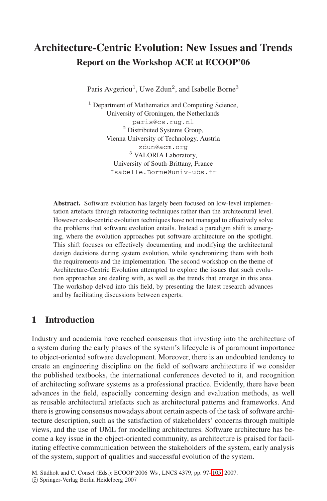# **Architecture-Centric Evolution: New Issues and Trends Report on the Workshop ACE at ECOOP'06**

Paris Avgeriou<sup>1</sup>, Uwe Zdun<sup>2</sup>, and Isabelle Borne<sup>3</sup>

<sup>1</sup> Department of Mathematics and Computing Science, University of Groningen, the Netherlands paris@cs.rug.nl <sup>2</sup> Distributed Systems Group, Vienna University of Technology, Austria zdun@acm.org <sup>3</sup> VALORIA Laboratory, University of South-Brittany, France Isabelle.Borne@univ-ubs.fr

**Abstract.** Software evolution has largely been focused on low-level implementation artefacts through refactoring techniques rather than the architectural level. However code-centric evolution techniques have not managed to effectively solve the problems that software evolution entails. Instead a paradigm shift is emerging, where the evolution approaches put software architecture on the spotlight. This shift focuses on effectively documenting and modifying the architectural design decisions during system evolution, while synchronizing them with both the requirements and the implementation. The second workshop on the theme of Architecture-Centric Evolution attempted to explore the issues that such evolution approaches are dealing with, as well as the trends that emerge in this area. The workshop delved into this field, by presenting the latest research advances and by facilitating discussions between experts.

## **1 Introduction**

Industry and academia have reached consensus that investing into the architecture of a system during the early phases of the system's lifecycle is of paramount importance to object-oriented software development. Moreover, there is an undoubted tendency to create an engineering discipline on the field of software architecture if we consider the published textbooks, the international conferences devoted to it, and recognition of architecting software systems as a professional practice. Evidently, there have been advances in the field, especially concerning design and evaluation methods, as well as reusable architectural artefacts such as architectural patterns and frameworks. And there is growing consensus nowadays about certain aspects of the task of software architecture description, such as the satisfaction of stakeholders' concerns through multiple views, and the use of UML for modelling architectures. Software architecture has become a key issue in the object-oriented community, as architecture is praised for facilitating effective communication between the stakeholders of the system, early analysis of the system, support of qualities and successful evolution of the system.

M. Südholt and C. Consel (Eds.): ECOOP 2006 Ws, LNCS 4379, pp. 97-105, 2007.

<sup>-</sup>c Springer-Verlag Berlin Heidelberg 2007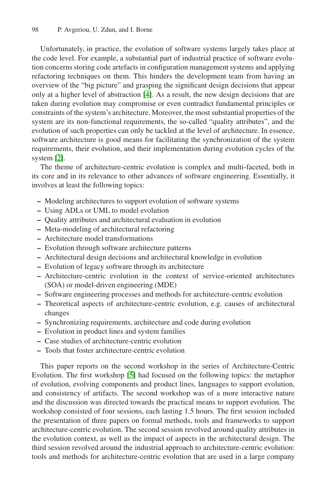#### 98 P. Avgeriou, U. Zdun, and I. Borne

Unfortunately, in practice, the evolution of software systems largely takes place at the code level. For example, a substantial part of industrial practice of software evolution concerns storing code artefacts in configuration management systems and applying refactoring techniques on them. This hinders the development team from having an overview of the "big picture" and grasping the significant design decisions that appear only at a higher level of abstraction [4]. As a result, the new design decisions that are taken during evolution may compromise or even contradict fundamental principles or constraints of the system's architecture. Moreover, the most substantial properties of the system are its non-functional requirements, the so-called "quality attributes", and the evolution of such properties can only be tackled at the level of architecture. In essence, software architecture is good means for facilitating the synchronization of the system requirements, their evolution, and their implementation during evolution cycles of the system [2].

The theme of architecture-centric evolution is complex and multi-faceted, both in its core and in its relevance to other advances of software engineering. Essentially, it involves at least the following topics:

- **–** Modeling architectures to support evolution of software systems
- **–** Using ADLs or UML to model evolution
- **–** Quality attributes and architectural evaluation in evolution
- **–** Meta-modeling of architectural refactoring
- **–** Architecture model transformations
- **–** Evolution through software architecture patterns
- **–** Architectural design decisions and architectural knowledge in evolution
- **–** Evolution of legacy software through its architecture
- **–** Architecture-centric evolution in the context of service-oriented architectures (SOA) or model-driven engineering (MDE)
- **–** Software engineering processes and methods for architecture-centric evolution
- **–** Theoretical aspects of architecture-centric evolution, e.g. causes of architectural changes
- **–** Synchronizing requirements, architecture and code during evolution
- **–** Evolution in product lines and system families
- **–** Case studies of architecture-centric evolution
- **–** Tools that foster architecture-centric evolution

This paper reports on the second workshop in the series of Architecture-Centric Evolution. The first workshop [5] had focused on the following topics: the metaphor of evolution, evolving components and product lines, languages to support evolution, and consistency of artifacts. The second workshop was of a more interactive nature and the discussion was directed towards the practical means to support evolution. The workshop consisted of four sessions, each lasting 1.5 hours. The first session included the presentation of three papers on formal methods, tools and frameworks to support architecture-centric evolution. The second session revolved around quality attributes in the evolution context, as well as the impact of aspects in the architectural design. The third session revolved around the industrial approach to architecture-centric evolution: tools and methods for architecture-centric evolution that are used in a large company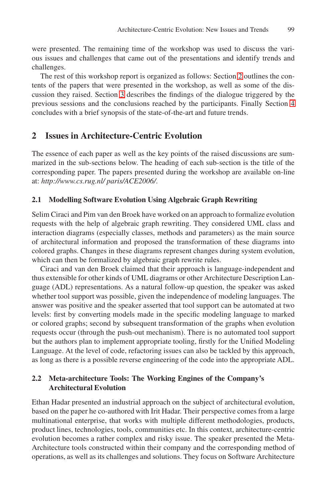were presented. The remaining time of the workshop was used to discuss the various issues and challenges that came out of the presentations and identify trends and challenges.

The rest of this workshop report is organized as follows: Section 2 outlines the contents of the papers that were presented in the workshop, as well as some of the discussion they raised. Section 3 describes the findings of the dialogue triggered by the previous sessions and the conclusions reached by the participants. Finally Section 4 concludes with a brief synopsis of the state-of-the-art and future trends.

#### **2 Issues in Architecture-Centric Evolution**

The essence of each paper as well as the key points of the raised discussions are summarized in the sub-sections below. The heading of each sub-section is the title of the corresponding paper. The papers presented during the workshop are available on-line at: *http://www.cs.rug.nl/ paris/ACE2006/*.

### **2.1 Modelling Software Evolution Using Algebraic Graph Rewriting**

Selim Ciraci and Pim van den Broek have worked on an approach to formalize evolution requests with the help of algebraic graph rewriting. They considered UML class and interaction diagrams (especially classes, methods and parameters) as the main source of architectural information and proposed the transformation of these diagrams into colored graphs. Changes in these diagrams represent changes during system evolution, which can then be formalized by algebraic graph rewrite rules.

Ciraci and van den Broek claimed that their approach is language-independent and thus extensible for other kinds of UML diagrams or other Architecture Description Language (ADL) representations. As a natural follow-up question, the speaker was asked whether tool support was possible, given the independence of modeling languages. The answer was positive and the speaker asserted that tool support can be automated at two levels: first by converting models made in the specific modeling language to marked or colored graphs; second by subsequent transformation of the graphs when evolution requests occur (through the push-out mechanism). There is no automated tool support but the authors plan to implement appropriate tooling, firstly for the Unified Modeling Language. At the level of code, refactoring issues can also be tackled by this approach, as long as there is a possible reverse engineering of the code into the appropriate ADL.

## **2.2 Meta-architecture Tools: The Working Engines of the Company's Architectural Evolution**

Ethan Hadar presented an industrial approach on the subject of architectural evolution, based on the paper he co-authored with Irit Hadar. Their perspective comes from a large multinational enterprise, that works with multiple different methodologies, products, product lines, technologies, tools, communities etc. In this context, architecture-centric evolution becomes a rather complex and risky issue. The speaker presented the Meta-Architecture tools constructed within their company and the corresponding method of operations, as well as its challenges and solutions. They focus on Software Architecture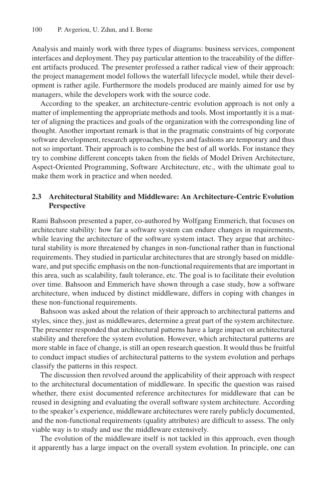Analysis and mainly work with three types of diagrams: business services, component interfaces and deployment. They pay particular attention to the traceability of the different artifacts produced. The presenter professed a rather radical view of their approach: the project management model follows the waterfall lifecycle model, while their development is rather agile. Furthermore the models produced are mainly aimed for use by managers, while the developers work with the source code.

According to the speaker, an architecture-centric evolution approach is not only a matter of implementing the appropriate methods and tools. Most importantly it is a matter of aligning the practices and goals of the organization with the corresponding line of thought. Another important remark is that in the pragmatic constraints of big corporate software development, research approaches, hypes and fashions are temporary and thus not so important. Their approach is to combine the best of all worlds. For instance they try to combine different concepts taken from the fields of Model Driven Architecture, Aspect-Oriented Programming, Software Architecture, etc., with the ultimate goal to make them work in practice and when needed.

## **2.3 Architectural Stability and Middleware: An Architecture-Centric Evolution Perspective**

Rami Bahsoon presented a paper, co-authored by Wolfgang Emmerich, that focuses on architecture stability: how far a software system can endure changes in requirements, while leaving the architecture of the software system intact. They argue that architectural stability is more threatened by changes in non-functional rather than in functional requirements. They studied in particular architectures that are strongly based on middleware, and put specific emphasis on the non-functional requirements that are important in this area, such as scalability, fault tolerance, etc. The goal is to facilitate their evolution over time. Bahsoon and Emmerich have shown through a case study, how a software architecture, when induced by distinct middleware, differs in coping with changes in these non-functional requirements.

Bahsoon was asked about the relation of their approach to architectural patterns and styles, since they, just as middlewares, determine a great part of the system architecture. The presenter responded that architectural patterns have a large impact on architectural stability and therefore the system evolution. However, which architectural patterns are more stable in face of change, is still an open research question. It would thus be fruitful to conduct impact studies of architectural patterns to the system evolution and perhaps classify the patterns in this respect.

The discussion then revolved around the applicability of their approach with respect to the architectural documentation of middleware. In specific the question was raised whether, there exist documented reference architectures for middleware that can be reused in designing and evaluating the overall software system architecture. According to the speaker's experience, middleware architectures were rarely publicly documented, and the non-functional requirements (quality attributes) are difficult to assess. The only viable way is to study and use the middleware extensively.

The evolution of the middleware itself is not tackled in this approach, even though it apparently has a large impact on the overall system evolution. In principle, one can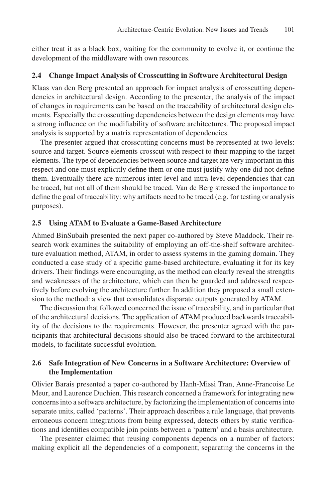either treat it as a black box, waiting for the community to evolve it, or continue the development of the middleware with own resources.

#### **2.4 Change Impact Analysis of Crosscutting in Software Architectural Design**

Klaas van den Berg presented an approach for impact analysis of crosscutting dependencies in architectural design. According to the presenter, the analysis of the impact of changes in requirements can be based on the traceability of architectural design elements. Especially the crosscutting dependencies between the design elements may have a strong influence on the modifiability of software architectures. The proposed impact analysis is supported by a matrix representation of dependencies.

The presenter argued that crosscutting concerns must be represented at two levels: source and target. Source elements crosscut with respect to their mapping to the target elements. The type of dependencies between source and target are very important in this respect and one must explicitly define them or one must justify why one did not define them. Eventually there are numerous inter-level and intra-level dependencies that can be traced, but not all of them should be traced. Van de Berg stressed the importance to define the goal of traceability: why artifacts need to be traced (e.g. for testing or analysis purposes).

#### **2.5 Using ATAM to Evaluate a Game-Based Architecture**

Ahmed BinSubaih presented the next paper co-authored by Steve Maddock. Their research work examines the suitability of employing an off-the-shelf software architecture evaluation method, ATAM, in order to assess systems in the gaming domain. They conducted a case study of a specific game-based architecture, evaluating it for its key drivers. Their findings were encouraging, as the method can clearly reveal the strengths and weaknesses of the architecture, which can then be guarded and addressed respectively before evolving the architecture further. In addition they proposed a small extension to the method: a view that consolidates disparate outputs generated by ATAM.

The discussion that followed concerned the issue of traceability, and in particular that of the architectural decisions. The application of ATAM produced backwards traceability of the decisions to the requirements. However, the presenter agreed with the participants that architectural decisions should also be traced forward to the architectural models, to facilitate successful evolution.

## **2.6 Safe Integration of New Concerns in a Software Architecture: Overview of the Implementation**

Olivier Barais presented a paper co-authored by Hanh-Missi Tran, Anne-Francoise Le Meur, and Laurence Duchien. This research concerned a framework for integrating new concerns into a software architecture, by factorizing the implementation of concerns into separate units, called 'patterns'. Their approach describes a rule language, that prevents erroneous concern integrations from being expressed, detects others by static verifications and identifies compatible join points between a 'pattern' and a basis architecture.

The presenter claimed that reusing components depends on a number of factors: making explicit all the dependencies of a component; separating the concerns in the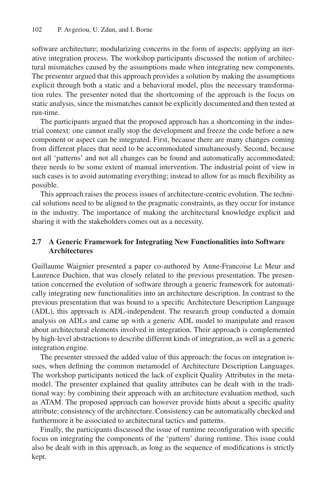software architecture; modularizing concerns in the form of aspects; applying an iterative integration process. The workshop participants discussed the notion of architectural mismatches caused by the assumptions made when integrating new components. The presenter argued that this approach provides a solution by making the assumptions explicit through both a static and a behavioral model, plus the necessary transformation rules. The presenter noted that the shortcoming of the approach is the focus on static analysis, since the mismatches cannot be explicitly documented and then tested at run-time.

The participants argued that the proposed approach has a shortcoming in the industrial context: one cannot really stop the development and freeze the code before a new component or aspect can be integrated. First, because there are many changes coming from different places that need to be accommodated simultaneously. Second, because not all 'patterns' and not all changes can be found and automatically accommodated; there needs to be some extent of manual intervention. The industrial point of view in such cases is to avoid automating everything; instead to allow for as much flexibility as possible.

This approach raises the process issues of architecture-centric evolution. The technical solutions need to be aligned to the pragmatic constraints, as they occur for instance in the industry. The importance of making the architectural knowledge explicit and sharing it with the stakeholders comes out as a necessity.

## **2.7 A Generic Framework for Integrating New Functionalities into Software Architectures**

Guillaume Waignier presented a paper co-authored by Anne-Francoise Le Meur and Laurence Duchien, that was closely related to the previous presentation. The presentation concerned the evolution of software through a generic framework for automatically integrating new functionalities into an architecture description. In contrast to the previous presentation that was bound to a specific Architecture Description Language (ADL), this approach is ADL-independent. The research group conducted a domain analysis on ADLs and came up with a generic ADL model to manipulate and reason about architectural elements involved in integration. Their approach is complemented by high-level abstractions to describe different kinds of integration, as well as a generic integration engine.

The presenter stressed the added value of this approach: the focus on integration issues, when defining the common metamodel of Architecture Description Languages. The workshop participants noticed the lack of explicit Quality Attributes in the metamodel. The presenter explained that quality attributes can be dealt with in the traditional way: by combining their approach with an architecture evaluation method, such as ATAM. The proposed approach can however provide hints about a specific quality attribute: consistency of the architecture. Consistency can be automatically checked and furthermore it be associated to architectural tactics and patterns.

Finally, the participants discussed the issue of runtime reconfiguration with specific focus on integrating the components of the 'pattern' during runtime. This issue could also be dealt with in this approach, as long as the sequence of modifications is strictly kept.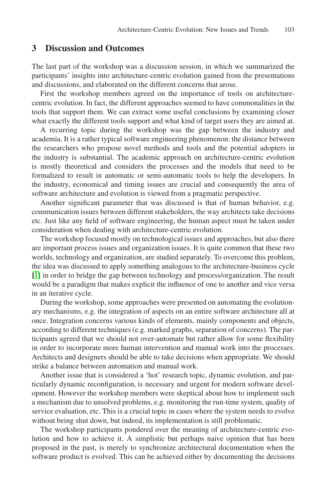## **3 Discussion and Outcomes**

The last part of the workshop was a discussion session, in which we summarized the participants' insights into architecture-centric evolution gained from the presentations and discussions, and elaborated on the different concerns that arose.

First the workshop members agreed on the importance of tools on architecturecentric evolution. In fact, the different approaches seemed to have commonalities in the tools that support them. We can extract some useful conclusions by examining closer what exactly the different tools support and what kind of target users they are aimed at.

A recurring topic during the workshop was the gap between the industry and academia. It is a rather typical software engineering phenomenon: the distance between the researchers who propose novel methods and tools and the potential adopters in the industry is substantial. The academic approach on architecture-centric evolution is mostly theoretical and considers the processes and the models that need to be formalized to result in automatic or semi-automatic tools to help the developers. In the industry, economical and timing issues are crucial and consequently the area of software architecture and evolution is viewed from a pragmatic perspective.

Another significant parameter that was discussed is that of human behavior, e.g. communication issues between different stakeholders, the way architects take decisions etc. Just like any field of software engineering, the human aspect must be taken under consideration when dealing with architecture-centric evolution.

The workshop focused mostly on technological issues and approaches, but also there are important process issues and organization issues. It is quite common that these two worlds, technology and organization, are studied separately. To overcome this problem, the idea was discussed to apply something analogous to the architecture-business cycle [1] in order to bridge the gap between technology and process/organization. The result would be a paradigm that makes explicit the influence of one to another and vice versa in an iterative cycle.

During the workshop, some approaches were presented on automating the evolutionary mechanisms, e.g. the integration of aspects on an entire software architecture all at once. Integration concerns various kinds of elements, mainly components and objects, according to different techniques (e.g. marked graphs, separation of concerns). The participants agreed that we should not over-automate but rather allow for some flexibility in order to incorporate more human intervention and manual work into the processes. Architects and designers should be able to take decisions when appropriate. We should strike a balance between automation and manual work.

Another issue that is considered a 'hot' research topic, dynamic evolution, and particularly dynamic reconfiguration, is necessary and urgent for modern software development. However the workshop members were skeptical about how to implement such a mechanism due to unsolved problems, e.g. monitoring the run-time system, quality of service evaluation, etc. This is a crucial topic in cases where the system needs to evolve without being shut down, but indeed, its implementation is still problematic.

The workshop participants pondered over the meaning of architecture-centric evolution and how to achieve it. A simplistic but perhaps naive opinion that has been proposed in the past, is merely to synchronize architectural documentation when the software product is evolved. This can be achieved either by documenting the decisions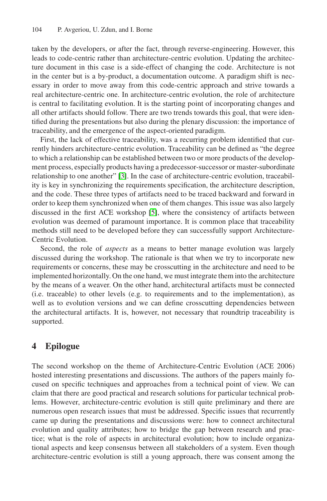#### 104 P. Avgeriou, U. Zdun, and I. Borne

taken by the developers, or after the fact, through reverse-engineering. However, this leads to code-centric rather than architecture-centric evolution. Updating the architecture document in this case is a side-effect of changing the code. Architecture is not in the center but is a by-product, a documentation outcome. A paradigm shift is necessary in order to move away from this code-centric approach and strive towards a real architecture-centric one. In architecture-centric evolution, the role of architecture is central to facilitating evolution. It is the starting point of incorporating changes and all other artifacts should follow. There are two trends towards this goal, that were identified during the presentations but also during the plenary discussion: the importance of traceability, and the emergence of the aspect-oriented paradigm.

First, the lack of effective traceability, was a recurring problem identified that currently hinders architecture-centric evolution. Traceability can be defined as "the degree to which a relationship can be established between two or more products of the development process, especially products having a predecessor-successor or master-subordinate relationship to one another" [3]. In the case of architecture-centric evolution, traceability is key in synchronizing the requirements specification, the architecture description, and the code. These three types of artifacts need to be traced backward and forward in order to keep them synchronized when one of them changes. This issue was also largely discussed in the first ACE workshop [5], where the consistency of artifacts between evolution was deemed of paramount importance. It is common place that traceability methods still need to be developed before they can successfully support Architecture-Centric Evolution.

Second, the role of *aspects* as a means to better manage evolution was largely discussed during the workshop. The rationale is that when we try to incorporate new requirements or concerns, these may be crosscutting in the architecture and need to be implemented horizontally. On the one hand, we must integrate them into the architecture by the means of a weaver. On the other hand, architectural artifacts must be connected (i.e. traceable) to other levels (e.g. to requirements and to the implementation), as well as to evolution versions and we can define crosscutting dependencies between the architectural artifacts. It is, however, not necessary that roundtrip traceability is supported.

## **4 Epilogue**

The second workshop on the theme of Architecture-Centric Evolution (ACE 2006) hosted interesting presentations and discussions. The authors of the papers mainly focused on specific techniques and approaches from a technical point of view. We can claim that there are good practical and research solutions for particular technical problems. However, architecture-centric evolution is still quite preliminary and there are numerous open research issues that must be addressed. Specific issues that recurrently came up during the presentations and discussions were: how to connect architectural evolution and quality attributes; how to bridge the gap between research and practice; what is the role of aspects in architectural evolution; how to include organizational aspects and keep consensus between all stakeholders of a system. Even though architecture-centric evolution is still a young approach, there was consent among the